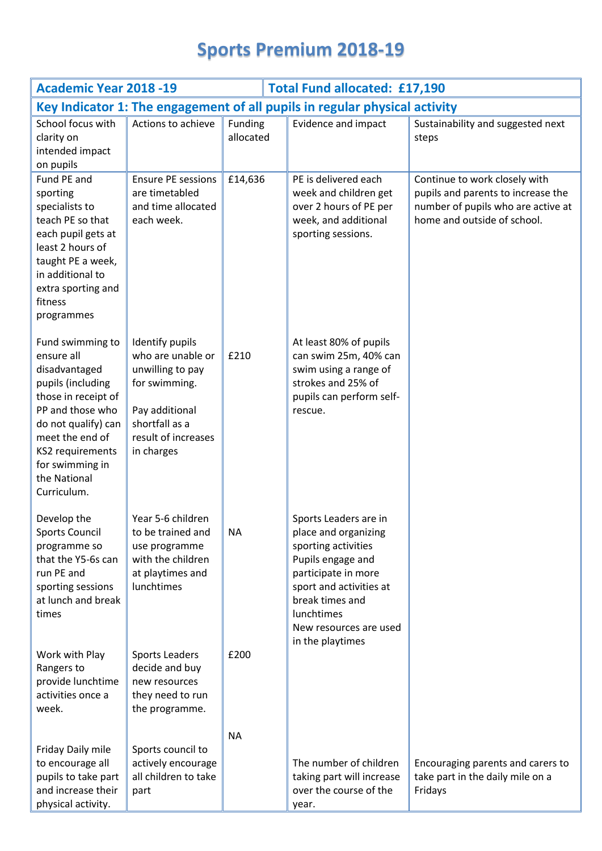## **Sports Premium 2018-19**

| <b>Academic Year 2018 -19</b><br><b>Total Fund allocated: £17,190</b>                                                                                                                                                           |                                                                                                                                                    |                      |                                                                                                                                                                                                                            |                                                                                                                                          |  |  |  |
|---------------------------------------------------------------------------------------------------------------------------------------------------------------------------------------------------------------------------------|----------------------------------------------------------------------------------------------------------------------------------------------------|----------------------|----------------------------------------------------------------------------------------------------------------------------------------------------------------------------------------------------------------------------|------------------------------------------------------------------------------------------------------------------------------------------|--|--|--|
| Key Indicator 1: The engagement of all pupils in regular physical activity                                                                                                                                                      |                                                                                                                                                    |                      |                                                                                                                                                                                                                            |                                                                                                                                          |  |  |  |
| School focus with<br>clarity on<br>intended impact<br>on pupils                                                                                                                                                                 | Actions to achieve                                                                                                                                 | Funding<br>allocated | Evidence and impact                                                                                                                                                                                                        | Sustainability and suggested next<br>steps                                                                                               |  |  |  |
| Fund PE and<br>sporting<br>specialists to<br>teach PE so that<br>each pupil gets at<br>least 2 hours of<br>taught PE a week,<br>in additional to<br>extra sporting and<br>fitness<br>programmes                                 | <b>Ensure PE sessions</b><br>are timetabled<br>and time allocated<br>each week.                                                                    | £14,636              | PE is delivered each<br>week and children get<br>over 2 hours of PE per<br>week, and additional<br>sporting sessions.                                                                                                      | Continue to work closely with<br>pupils and parents to increase the<br>number of pupils who are active at<br>home and outside of school. |  |  |  |
| Fund swimming to<br>ensure all<br>disadvantaged<br>pupils (including<br>those in receipt of<br>PP and those who<br>do not qualify) can<br>meet the end of<br>KS2 requirements<br>for swimming in<br>the National<br>Curriculum. | Identify pupils<br>who are unable or<br>unwilling to pay<br>for swimming.<br>Pay additional<br>shortfall as a<br>result of increases<br>in charges | £210                 | At least 80% of pupils<br>can swim 25m, 40% can<br>swim using a range of<br>strokes and 25% of<br>pupils can perform self-<br>rescue.                                                                                      |                                                                                                                                          |  |  |  |
| Develop the<br><b>Sports Council</b><br>programme so<br>that the Y5-6s can<br>run PE and<br>sporting sessions<br>at lunch and break<br>times                                                                                    | Year 5-6 children<br>to be trained and<br>use programme<br>with the children<br>at playtimes and<br>lunchtimes                                     | <b>NA</b>            | Sports Leaders are in<br>place and organizing<br>sporting activities<br>Pupils engage and<br>participate in more<br>sport and activities at<br>break times and<br>lunchtimes<br>New resources are used<br>in the playtimes |                                                                                                                                          |  |  |  |
| Work with Play<br>Rangers to<br>provide lunchtime<br>activities once a<br>week.                                                                                                                                                 | Sports Leaders<br>decide and buy<br>new resources<br>they need to run<br>the programme.                                                            | £200                 |                                                                                                                                                                                                                            |                                                                                                                                          |  |  |  |
| Friday Daily mile<br>to encourage all<br>pupils to take part<br>and increase their<br>physical activity.                                                                                                                        | Sports council to<br>actively encourage<br>all children to take<br>part                                                                            | <b>NA</b>            | The number of children<br>taking part will increase<br>over the course of the<br>year.                                                                                                                                     | Encouraging parents and carers to<br>take part in the daily mile on a<br>Fridays                                                         |  |  |  |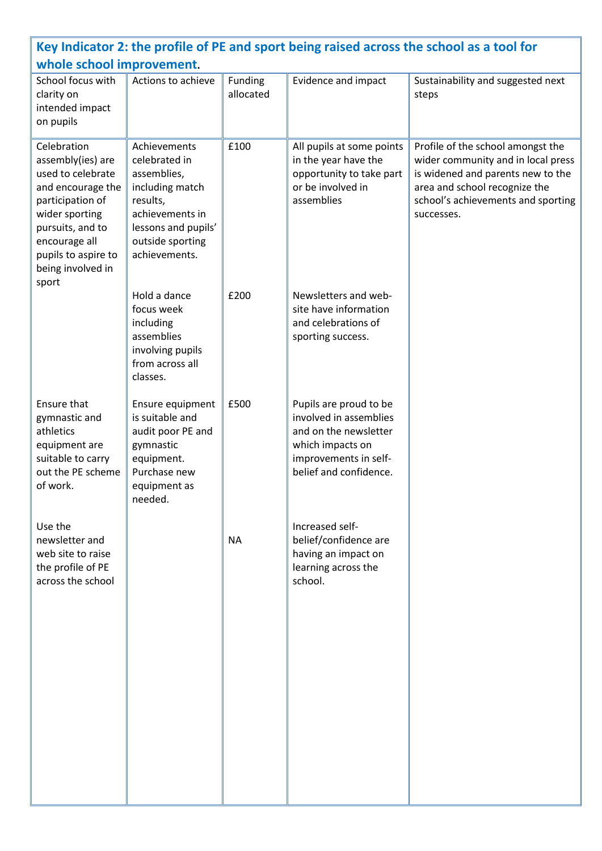| Key Indicator 2: the profile of PE and sport being raised across the school as a tool for<br>whole school improvement.                                                                                     |                                                                                                                                                            |                      |                                                                                                                                                  |                                                                                                                                                                                                   |  |  |  |  |
|------------------------------------------------------------------------------------------------------------------------------------------------------------------------------------------------------------|------------------------------------------------------------------------------------------------------------------------------------------------------------|----------------------|--------------------------------------------------------------------------------------------------------------------------------------------------|---------------------------------------------------------------------------------------------------------------------------------------------------------------------------------------------------|--|--|--|--|
| School focus with<br>clarity on<br>intended impact<br>on pupils                                                                                                                                            | Actions to achieve                                                                                                                                         | Funding<br>allocated | Evidence and impact                                                                                                                              | Sustainability and suggested next<br>steps                                                                                                                                                        |  |  |  |  |
| Celebration<br>assembly(ies) are<br>used to celebrate<br>and encourage the<br>participation of<br>wider sporting<br>pursuits, and to<br>encourage all<br>pupils to aspire to<br>being involved in<br>sport | Achievements<br>celebrated in<br>assemblies,<br>including match<br>results,<br>achievements in<br>lessons and pupils'<br>outside sporting<br>achievements. | £100                 | All pupils at some points<br>in the year have the<br>opportunity to take part<br>or be involved in<br>assemblies                                 | Profile of the school amongst the<br>wider community and in local press<br>is widened and parents new to the<br>area and school recognize the<br>school's achievements and sporting<br>successes. |  |  |  |  |
|                                                                                                                                                                                                            | Hold a dance<br>focus week<br>including<br>assemblies<br>involving pupils<br>from across all<br>classes.                                                   | £200                 | Newsletters and web-<br>site have information<br>and celebrations of<br>sporting success.                                                        |                                                                                                                                                                                                   |  |  |  |  |
| Ensure that<br>gymnastic and<br>athletics<br>equipment are<br>suitable to carry<br>out the PE scheme<br>of work.                                                                                           | Ensure equipment<br>is suitable and<br>audit poor PE and<br>gymnastic<br>equipment.<br>Purchase new<br>equipment as<br>needed.                             | £500                 | Pupils are proud to be<br>involved in assemblies<br>and on the newsletter<br>which impacts on<br>improvements in self-<br>belief and confidence. |                                                                                                                                                                                                   |  |  |  |  |
| Use the<br>newsletter and<br>web site to raise<br>the profile of PE<br>across the school                                                                                                                   |                                                                                                                                                            | <b>NA</b>            | Increased self-<br>belief/confidence are<br>having an impact on<br>learning across the<br>school.                                                |                                                                                                                                                                                                   |  |  |  |  |
|                                                                                                                                                                                                            |                                                                                                                                                            |                      |                                                                                                                                                  |                                                                                                                                                                                                   |  |  |  |  |